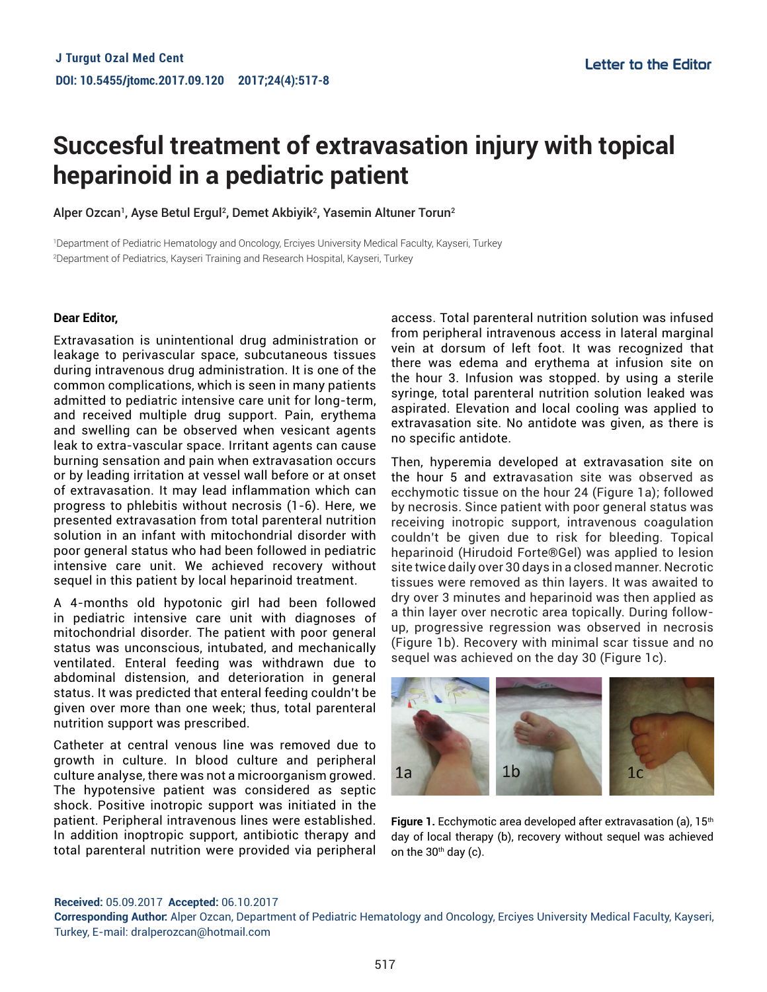# **Succesful treatment of extravasation injury with topical heparinoid in a pediatric patient**

Alper Ozcan<sup>1</sup>, Ayse Betul Ergul<sup>2</sup>, Demet Akbiyik<sup>2</sup>, Yasemin Altuner Torun<sup>2</sup>

1 Department of Pediatric Hematology and Oncology, Erciyes University Medical Faculty, Kayseri, Turkey 2 Department of Pediatrics, Kayseri Training and Research Hospital, Kayseri, Turkey

# **Dear Editor,**

Extravasation is unintentional drug administration or leakage to perivascular space, subcutaneous tissues during intravenous drug administration. It is one of the common complications, which is seen in many patients admitted to pediatric intensive care unit for long-term, and received multiple drug support. Pain, erythema and swelling can be observed when vesicant agents leak to extra-vascular space. Irritant agents can cause burning sensation and pain when extravasation occurs or by leading irritation at vessel wall before or at onset of extravasation. It may lead inflammation which can progress to phlebitis without necrosis (1-6). Here, we presented extravasation from total parenteral nutrition solution in an infant with mitochondrial disorder with poor general status who had been followed in pediatric intensive care unit. We achieved recovery without sequel in this patient by local heparinoid treatment.

A 4-months old hypotonic girl had been followed in pediatric intensive care unit with diagnoses of mitochondrial disorder. The patient with poor general status was unconscious, intubated, and mechanically ventilated. Enteral feeding was withdrawn due to abdominal distension, and deterioration in general status. It was predicted that enteral feeding couldn't be given over more than one week; thus, total parenteral nutrition support was prescribed.

Catheter at central venous line was removed due to growth in culture. In blood culture and peripheral culture analyse, there was not a microorganism growed. The hypotensive patient was considered as septic shock. Positive inotropic support was initiated in the patient. Peripheral intravenous lines were established. In addition inoptropic support, antibiotic therapy and total parenteral nutrition were provided via peripheral access. Total parenteral nutrition solution was infused from peripheral intravenous access in lateral marginal vein at dorsum of left foot. It was recognized that there was edema and erythema at infusion site on the hour 3. Infusion was stopped. by using a sterile syringe, total parenteral nutrition solution leaked was aspirated. Elevation and local cooling was applied to extravasation site. No antidote was given, as there is no specific antidote.

Then, hyperemia developed at extravasation site on the hour 5 and extravasation site was observed as ecchymotic tissue on the hour 24 (Figure 1a); followed by necrosis. Since patient with poor general status was receiving inotropic support, intravenous coagulation couldn't be given due to risk for bleeding. Topical heparinoid (Hirudoid Forte®Gel) was applied to lesion site twice daily over 30 days in a closed manner. Necrotic tissues were removed as thin layers. It was awaited to dry over 3 minutes and heparinoid was then applied as a thin layer over necrotic area topically. During followup, progressive regression was observed in necrosis (Figure 1b). Recovery with minimal scar tissue and no sequel was achieved on the day 30 (Figure 1c).



**Figure 1.** Ecchymotic area developed after extravasation (a), 15<sup>th</sup> day of local therapy (b), recovery without sequel was achieved on the  $30<sup>th</sup>$  day (c).

### **Received:** 05.09.2017 **Accepted:** 06.10.2017

**Corresponding Author:** Alper Ozcan, Department of Pediatric Hematology and Oncology, Erciyes University Medical Faculty, Kayseri, Turkey, E-mail: dralperozcan@hotmail.com